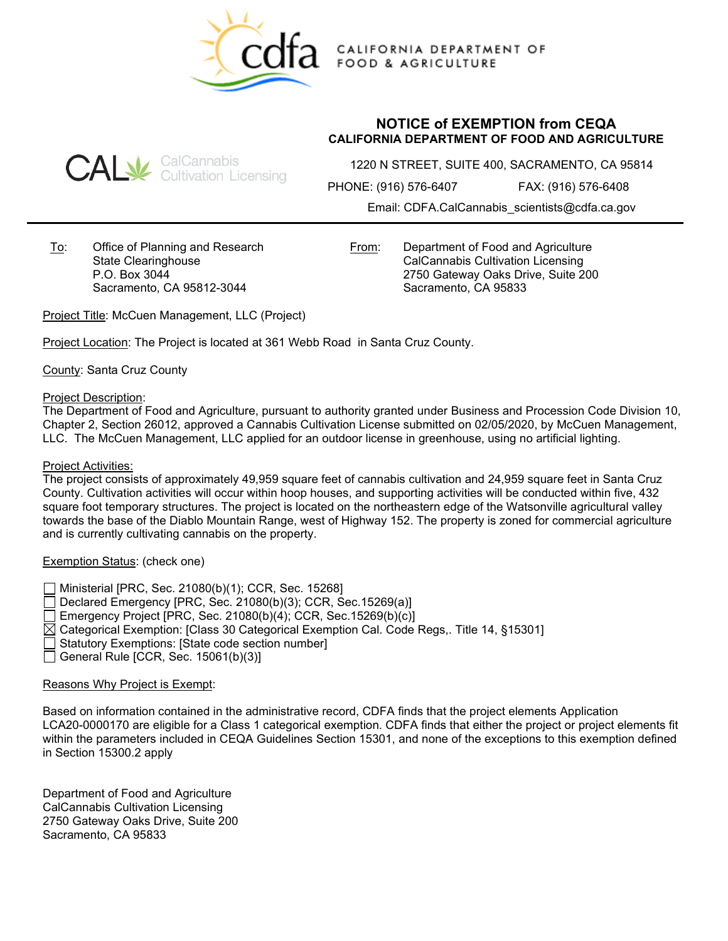

CALIFORNIA DEPARTMENT OF **FOOD & AGRICULTURE** 

# **CAL** SalCannabis<br>CAL Gultivation Licensing

# **NOTICE of EXEMPTION from CEQA CALIFORNIA DEPARTMENT OF FOOD AND AGRICULTURE**

1220 N STREET, SUITE 400, SACRAMENTO, CA 95814

PHONE: (916) 576-6407 FAX: (916) 576-6408

Email: CDFA.CalCannabis\_scientists@cdfa.ca.gov

To: Office of Planning and Research State Clearinghouse P.O. Box 3044 Sacramento, CA 95812-3044

From: Department of Food and Agriculture CalCannabis Cultivation Licensing 2750 Gateway Oaks Drive, Suite 200 Sacramento, CA 95833

Project Title: McCuen Management, LLC (Project)

Project Location: The Project is located at 361 Webb Road in Santa Cruz County.

County: Santa Cruz County

# Project Description:

The Department of Food and Agriculture, pursuant to authority granted under Business and Procession Code Division 10, Chapter 2, Section 26012, approved a Cannabis Cultivation License submitted on 02/05/2020, by McCuen Management, LLC. The McCuen Management, LLC applied for an outdoor license in greenhouse, using no artificial lighting.

#### Project Activities:

The project consists of approximately 49,959 square feet of cannabis cultivation and 24,959 square feet in Santa Cruz County. Cultivation activities will occur within hoop houses, and supporting activities will be conducted within five, 432 square foot temporary structures. The project is located on the northeastern edge of the Watsonville agricultural valley towards the base of the Diablo Mountain Range, west of Highway 152. The property is zoned for commercial agriculture and is currently cultivating cannabis on the property.

# Exemption Status: (check one)

Ministerial [PRC, Sec. 21080(b)(1); CCR, Sec. 15268]

Declared Emergency [PRC, Sec. 21080(b)(3); CCR, Sec.15269(a)]

Emergency Project [PRC, Sec. 21080(b)(4); CCR, Sec.15269(b)(c)]

 $\boxtimes$  Categorical Exemption: [Class 30 Categorical Exemption Cal. Code Regs,. Title 14, §15301]

Statutory Exemptions: [State code section number]

General Rule [CCR, Sec.  $15061(b)(3)$ ]

# Reasons Why Project is Exempt:

Based on information contained in the administrative record, CDFA finds that the project elements Application LCA20-0000170 are eligible for a Class 1 categorical exemption. CDFA finds that either the project or project elements fit within the parameters included in CEQA Guidelines Section 15301, and none of the exceptions to this exemption defined in Section 15300.2 apply

Department of Food and Agriculture CalCannabis Cultivation Licensing 2750 Gateway Oaks Drive, Suite 200 Sacramento, CA 95833